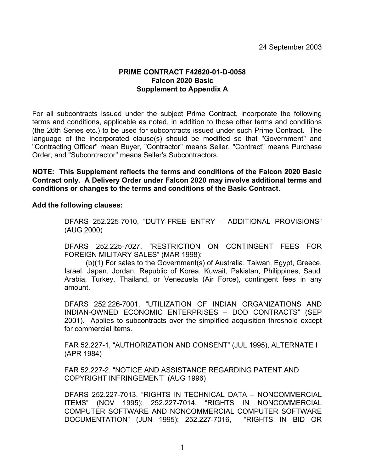## **PRIME CONTRACT F42620-01-D-0058 Falcon 2020 Basic Supplement to Appendix A**

For all subcontracts issued under the subject Prime Contract, incorporate the following terms and conditions, applicable as noted, in addition to those other terms and conditions (the 26th Series etc.) to be used for subcontracts issued under such Prime Contract. The language of the incorporated clause(s) should be modified so that "Government" and "Contracting Officer" mean Buyer, "Contractor" means Seller, "Contract" means Purchase Order, and "Subcontractor" means Seller's Subcontractors.

**NOTE: This Supplement reflects the terms and conditions of the Falcon 2020 Basic Contract only. A Delivery Order under Falcon 2020 may involve additional terms and conditions or changes to the terms and conditions of the Basic Contract.** 

**Add the following clauses:** 

DFARS 252.225-7010, "DUTY-FREE ENTRY – ADDITIONAL PROVISIONS" (AUG 2000)

DFARS 252.225-7027, "RESTRICTION ON CONTINGENT FEES FOR FOREIGN MILITARY SALES" (MAR 1998):

 (b)(1) For sales to the Government(s) of Australia, Taiwan, Egypt, Greece, Israel, Japan, Jordan, Republic of Korea, Kuwait, Pakistan, Philippines, Saudi Arabia, Turkey, Thailand, or Venezuela (Air Force), contingent fees in any amount.

DFARS 252.226-7001, "UTILIZATION OF INDIAN ORGANIZATIONS AND INDIAN-OWNED ECONOMIC ENTERPRISES – DOD CONTRACTS" (SEP 2001). Applies to subcontracts over the simplified acquisition threshold except for commercial items.

FAR 52.227-1, "AUTHORIZATION AND CONSENT" (JUL 1995), ALTERNATE I (APR 1984)

FAR 52.227-2, "NOTICE AND ASSISTANCE REGARDING PATENT AND COPYRIGHT INFRINGEMENT" (AUG 1996)

DFARS 252.227-7013, "RIGHTS IN TECHNICAL DATA – NONCOMMERCIAL ITEMS" (NOV 1995); 252.227-7014, "RIGHTS IN NONCOMMERCIAL COMPUTER SOFTWARE AND NONCOMMERCIAL COMPUTER SOFTWARE DOCUMENTATION" (JUN 1995); 252.227-7016, "RIGHTS IN BID OR